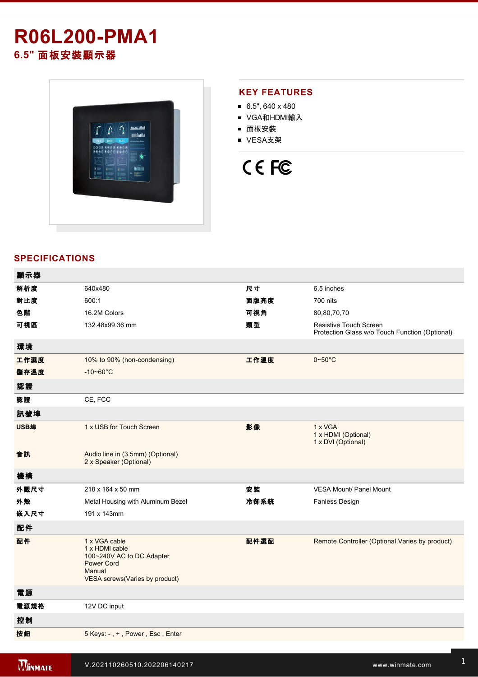## **R06L200-PMA1 6.5"** 面板安裝顯示器



#### **KEY FEATURES**

- $6.5$ ", 640 x 480
- VGA和HDMI輸入
- 面板安裝
- VESA支架

# CE FC

### **SPECIFICATIONS**

| 顯示器  |                                                                                                                               |      |                                                                          |
|------|-------------------------------------------------------------------------------------------------------------------------------|------|--------------------------------------------------------------------------|
| 解析度  | 640x480                                                                                                                       | 尺寸   | 6.5 inches                                                               |
| 對比度  | 600:1                                                                                                                         | 面版亮度 | 700 nits                                                                 |
| 色階   | 16.2M Colors                                                                                                                  | 可視角  | 80,80,70,70                                                              |
| 可視區  | 132.48x99.36 mm                                                                                                               | 類型   | Resistive Touch Screen<br>Protection Glass w/o Touch Function (Optional) |
| 環境   |                                                                                                                               |      |                                                                          |
| 工作濕度 | 10% to 90% (non-condensing)                                                                                                   | 工作溫度 | $0 - 50$ °C                                                              |
| 儲存溫度 | $-10 - 60^{\circ}$ C                                                                                                          |      |                                                                          |
| 認證   |                                                                                                                               |      |                                                                          |
| 認證   | CE, FCC                                                                                                                       |      |                                                                          |
| 訊號埠  |                                                                                                                               |      |                                                                          |
| USB埠 | 1 x USB for Touch Screen                                                                                                      | 影像   | 1 x VGA<br>1 x HDMI (Optional)<br>1 x DVI (Optional)                     |
| 音訊   | Audio line in (3.5mm) (Optional)<br>2 x Speaker (Optional)                                                                    |      |                                                                          |
| 機構   |                                                                                                                               |      |                                                                          |
| 外觀尺寸 | 218 x 164 x 50 mm                                                                                                             | 安裝   | <b>VESA Mount/ Panel Mount</b>                                           |
| 外殼   | Metal Housing with Aluminum Bezel                                                                                             | 冷卻系統 | <b>Fanless Design</b>                                                    |
| 嵌入尺寸 | 191 x 143mm                                                                                                                   |      |                                                                          |
| 配件   |                                                                                                                               |      |                                                                          |
| 配件   | 1 x VGA cable<br>1 x HDMI cable<br>100~240V AC to DC Adapter<br><b>Power Cord</b><br>Manual<br>VESA screws(Varies by product) | 配件選配 | Remote Controller (Optional, Varies by product)                          |
| 電源   |                                                                                                                               |      |                                                                          |
| 電源規格 | 12V DC input                                                                                                                  |      |                                                                          |
| 控制   |                                                                                                                               |      |                                                                          |
| 按鈕   | 5 Keys: -, +, Power, Esc, Enter                                                                                               |      |                                                                          |
|      |                                                                                                                               |      |                                                                          |

**Winmate R06L200PMA1**